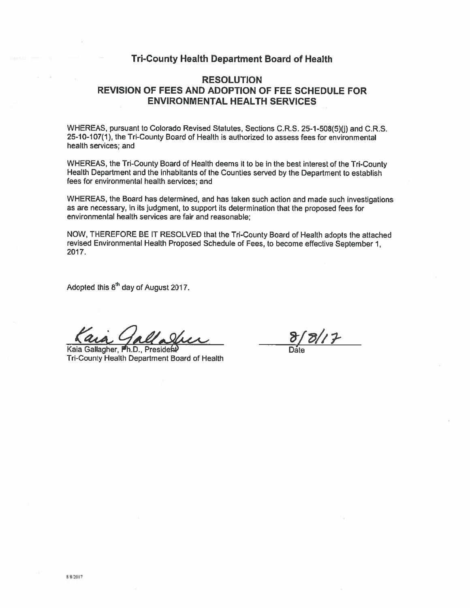# **Tri-County Health Department Board of Health**

# **RESOLUTION REVISION OF FEES AND ADOPTION OF FEE SCHEDULE FOR ENVIRONMENTAL HEALTH SERVICES**

WHEREAS, pursuant to Colorado Revised Statutes, Sections C.R.S. 25-1-508(5)(i) and C.R.S. 25-10-107(1), the Tri-County Board of Health is authorized to assess fees for environmental health services: and

WHEREAS, the Tri-County Board of Health deems it to be in the best interest of the Tri-County Health Department and the inhabitants of the Counties served by the Department to establish fees for environmental health services; and

WHEREAS, the Board has determined, and has taken such action and made such investigations as are necessary, in its judgment, to support its determination that the proposed fees for environmental health services are fair and reasonable:

NOW, THEREFORE BE IT RESOLVED that the Tri-County Board of Health adopts the attached revised Environmental Health Proposed Schedule of Fees, to become effective September 1, 2017.

Adopted this 8<sup>th</sup> day of August 2017.

Kaia Gallagher, Ph.D., President Tri-County Health Department Board of Health

 $8/8/7$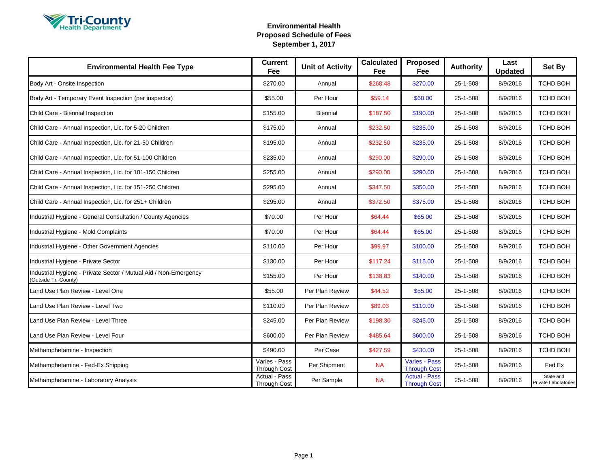

| <b>Environmental Health Fee Type</b>                                                     | <b>Current</b><br>Fee                | <b>Unit of Activity</b> | <b>Calculated</b><br>Fee | <b>Proposed</b><br>Fee                      | <b>Authority</b> | Last<br><b>Updated</b> | Set By                            |
|------------------------------------------------------------------------------------------|--------------------------------------|-------------------------|--------------------------|---------------------------------------------|------------------|------------------------|-----------------------------------|
| Body Art - Onsite Inspection                                                             | \$270.00                             | Annual                  | \$268.48                 | \$270.00                                    | 25-1-508         | 8/9/2016               | TCHD BOH                          |
| Body Art - Temporary Event Inspection (per inspector)                                    | \$55.00                              | Per Hour                | \$59.14                  | \$60.00                                     | 25-1-508         | 8/9/2016               | TCHD BOH                          |
| Child Care - Biennial Inspection                                                         | \$155.00                             | Biennial                | \$187.50                 | \$190.00                                    | 25-1-508         | 8/9/2016               | TCHD BOH                          |
| Child Care - Annual Inspection, Lic. for 5-20 Children                                   | \$175.00                             | Annual                  | \$232.50                 | \$235.00                                    | 25-1-508         | 8/9/2016               | TCHD BOH                          |
| Child Care - Annual Inspection, Lic. for 21-50 Children                                  | \$195.00                             | Annual                  | \$232.50                 | \$235.00                                    | 25-1-508         | 8/9/2016               | TCHD BOH                          |
| Child Care - Annual Inspection, Lic. for 51-100 Children                                 | \$235.00                             | Annual                  | \$290.00                 | \$290.00                                    | 25-1-508         | 8/9/2016               | TCHD BOH                          |
| Child Care - Annual Inspection, Lic. for 101-150 Children                                | \$255.00                             | Annual                  | \$290.00                 | \$290.00                                    | 25-1-508         | 8/9/2016               | TCHD BOH                          |
| Child Care - Annual Inspection, Lic. for 151-250 Children                                | \$295.00                             | Annual                  | \$347.50                 | \$350.00                                    | 25-1-508         | 8/9/2016               | TCHD BOH                          |
| Child Care - Annual Inspection, Lic. for 251+ Children                                   | \$295.00                             | Annual                  | \$372.50                 | \$375.00                                    | 25-1-508         | 8/9/2016               | <b>TCHD BOH</b>                   |
| Industrial Hygiene - General Consultation / County Agencies                              | \$70.00                              | Per Hour                | \$64.44                  | \$65.00                                     | 25-1-508         | 8/9/2016               | TCHD BOH                          |
| Industrial Hygiene - Mold Complaints                                                     | \$70.00                              | Per Hour                | \$64.44                  | \$65.00                                     | 25-1-508         | 8/9/2016               | TCHD BOH                          |
| Industrial Hygiene - Other Government Agencies                                           | \$110.00                             | Per Hour                | \$99.97                  | \$100.00                                    | 25-1-508         | 8/9/2016               | <b>TCHD BOH</b>                   |
| Industrial Hygiene - Private Sector                                                      | \$130.00                             | Per Hour                | \$117.24                 | \$115.00                                    | 25-1-508         | 8/9/2016               | TCHD BOH                          |
| Industrial Hygiene - Private Sector / Mutual Aid / Non-Emergency<br>(Outside Tri-County) | \$155.00                             | Per Hour                | \$138.83                 | \$140.00                                    | 25-1-508         | 8/9/2016               | TCHD BOH                          |
| Land Use Plan Review - Level One                                                         | \$55.00                              | Per Plan Review         | \$44.52                  | \$55.00                                     | 25-1-508         | 8/9/2016               | <b>TCHD BOH</b>                   |
| Land Use Plan Review - Level Two                                                         | \$110.00                             | Per Plan Review         | \$89.03                  | \$110.00                                    | 25-1-508         | 8/9/2016               | TCHD BOH                          |
| Land Use Plan Review - Level Three                                                       | \$245.00                             | Per Plan Review         | \$198.30                 | \$245.00                                    | 25-1-508         | 8/9/2016               | TCHD BOH                          |
| Land Use Plan Review - Level Four                                                        | \$600.00                             | Per Plan Review         | \$485.64                 | \$600.00                                    | 25-1-508         | 8/9/2016               | TCHD BOH                          |
| Methamphetamine - Inspection                                                             | \$490.00                             | Per Case                | \$427.59                 | \$430.00                                    | 25-1-508         | 8/9/2016               | TCHD BOH                          |
| Methamphetamine - Fed-Ex Shipping                                                        | Varies - Pass<br><b>Through Cost</b> | Per Shipment            | <b>NA</b>                | <b>Varies - Pass</b><br><b>Through Cost</b> | 25-1-508         | 8/9/2016               | Fed Ex                            |
| Methamphetamine - Laboratory Analysis                                                    | Actual - Pass<br>Through Cost        | Per Sample              | <b>NA</b>                | <b>Actual - Pass</b><br><b>Through Cost</b> | 25-1-508         | 8/9/2016               | State and<br>Private Laboratories |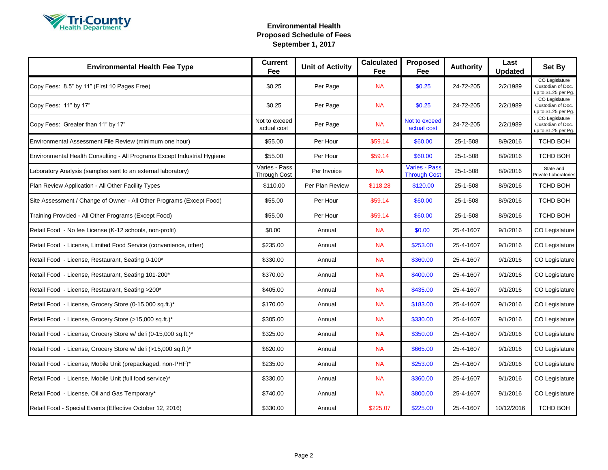

| <b>Environmental Health Fee Type</b>                                     | <b>Current</b><br>Fee                | <b>Unit of Activity</b> | <b>Calculated</b><br>Fee | Proposed<br>Fee                             | <b>Authority</b> | Last<br><b>Updated</b> | Set By                                                      |
|--------------------------------------------------------------------------|--------------------------------------|-------------------------|--------------------------|---------------------------------------------|------------------|------------------------|-------------------------------------------------------------|
| Copy Fees: 8.5" by 11" (First 10 Pages Free)                             | \$0.25                               | Per Page                | <b>NA</b>                | \$0.25                                      | 24-72-205        | 2/2/1989               | CO Legislature<br>Custodian of Doc.<br>up to \$1.25 per Pg. |
| Copy Fees: 11" by 17"                                                    | \$0.25                               | Per Page                | <b>NA</b>                | \$0.25                                      | 24-72-205        | 2/2/1989               | CO Legislature<br>Custodian of Doc.<br>up to \$1.25 per Pg. |
| Copy Fees: Greater than 11" by 17"                                       | Not to exceed<br>actual cost         | Per Page                | <b>NA</b>                | Not to exceed<br>actual cost                | 24-72-205        | 2/2/1989               | CO Legislature<br>Custodian of Doc.<br>up to \$1.25 per Pg. |
| Environmental Assessment File Review (minimum one hour)                  | \$55.00                              | Per Hour                | \$59.14                  | \$60.00                                     | 25-1-508         | 8/9/2016               | <b>TCHD BOH</b>                                             |
| Environmental Health Consulting - All Programs Except Industrial Hygiene | \$55.00                              | Per Hour                | \$59.14                  | \$60.00                                     | 25-1-508         | 8/9/2016               | <b>TCHD BOH</b>                                             |
| Laboratory Analysis (samples sent to an external laboratory)             | Varies - Pass<br><b>Through Cost</b> | Per Invoice             | <b>NA</b>                | <b>Varies - Pass</b><br><b>Through Cost</b> | 25-1-508         | 8/9/2016               | State and<br>Private Laboratories                           |
| Plan Review Application - All Other Facility Types                       | \$110.00                             | Per Plan Review         | \$118.28                 | \$120.00                                    | 25-1-508         | 8/9/2016               | <b>TCHD BOH</b>                                             |
| Site Assessment / Change of Owner - All Other Programs (Except Food)     | \$55.00                              | Per Hour                | \$59.14                  | \$60.00                                     | 25-1-508         | 8/9/2016               | TCHD BOH                                                    |
| Training Provided - All Other Programs (Except Food)                     | \$55.00                              | Per Hour                | \$59.14                  | \$60.00                                     | 25-1-508         | 8/9/2016               | TCHD BOH                                                    |
| Retail Food - No fee License (K-12 schools, non-profit)                  | \$0.00                               | Annual                  | <b>NA</b>                | \$0.00                                      | 25-4-1607        | 9/1/2016               | CO Legislature                                              |
| Retail Food - License, Limited Food Service (convenience, other)         | \$235.00                             | Annual                  | <b>NA</b>                | \$253.00                                    | 25-4-1607        | 9/1/2016               | CO Legislature                                              |
| Retail Food - License, Restaurant, Seating 0-100*                        | \$330.00                             | Annual                  | <b>NA</b>                | \$360.00                                    | 25-4-1607        | 9/1/2016               | CO Legislature                                              |
| Retail Food - License, Restaurant, Seating 101-200*                      | \$370.00                             | Annual                  | <b>NA</b>                | \$400.00                                    | 25-4-1607        | 9/1/2016               | CO Legislature                                              |
| Retail Food - License, Restaurant, Seating >200*                         | \$405.00                             | Annual                  | <b>NA</b>                | \$435.00                                    | 25-4-1607        | 9/1/2016               | CO Legislature                                              |
| Retail Food - License, Grocery Store (0-15,000 sq.ft.)*                  | \$170.00                             | Annual                  | <b>NA</b>                | \$183.00                                    | 25-4-1607        | 9/1/2016               | CO Legislature                                              |
| Retail Food - License, Grocery Store (>15,000 sq.ft.)*                   | \$305.00                             | Annual                  | <b>NA</b>                | \$330.00                                    | 25-4-1607        | 9/1/2016               | CO Legislature                                              |
| Retail Food - License, Grocery Store w/ deli (0-15,000 sq.ft.)*          | \$325.00                             | Annual                  | <b>NA</b>                | \$350.00                                    | 25-4-1607        | 9/1/2016               | CO Legislature                                              |
| Retail Food - License, Grocery Store w/ deli (>15,000 sq.ft.)*           | \$620.00                             | Annual                  | <b>NA</b>                | \$665.00                                    | 25-4-1607        | 9/1/2016               | CO Legislature                                              |
| Retail Food - License, Mobile Unit (prepackaged, non-PHF)*               | \$235.00                             | Annual                  | <b>NA</b>                | \$253.00                                    | 25-4-1607        | 9/1/2016               | CO Legislature                                              |
| Retail Food - License, Mobile Unit (full food service)*                  | \$330.00                             | Annual                  | <b>NA</b>                | \$360.00                                    | 25-4-1607        | 9/1/2016               | CO Legislature                                              |
| Retail Food - License, Oil and Gas Temporary*                            | \$740.00                             | Annual                  | <b>NA</b>                | \$800.00                                    | 25-4-1607        | 9/1/2016               | CO Legislature                                              |
| Retail Food - Special Events (Effective October 12, 2016)                | \$330.00                             | Annual                  | \$225.07                 | \$225.00                                    | 25-4-1607        | 10/12/2016             | TCHD BOH                                                    |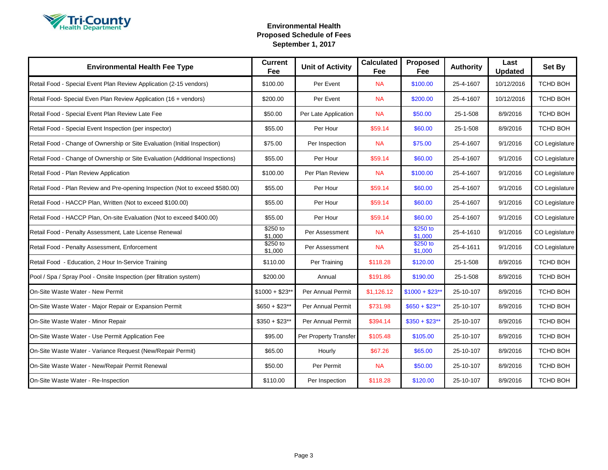

| <b>Environmental Health Fee Type</b>                                          | <b>Current</b><br>Fee | <b>Unit of Activity</b> | <b>Calculated</b><br>Fee | Proposed<br>Fee     | <b>Authority</b> | Last<br><b>Updated</b> | Set By         |
|-------------------------------------------------------------------------------|-----------------------|-------------------------|--------------------------|---------------------|------------------|------------------------|----------------|
| Retail Food - Special Event Plan Review Application (2-15 vendors)            | \$100.00              | Per Event               | <b>NA</b>                | \$100.00            | 25-4-1607        | 10/12/2016             | TCHD BOH       |
| Retail Food- Special Even Plan Review Application (16 + vendors)              | \$200.00              | Per Event               | <b>NA</b>                | \$200.00            | 25-4-1607        | 10/12/2016             | TCHD BOH       |
| Retail Food - Special Event Plan Review Late Fee                              | \$50.00               | Per Late Application    | <b>NA</b>                | \$50.00             | 25-1-508         | 8/9/2016               | TCHD BOH       |
| Retail Food - Special Event Inspection (per inspector)                        | \$55.00               | Per Hour                | \$59.14                  | \$60.00             | 25-1-508         | 8/9/2016               | TCHD BOH       |
| Retail Food - Change of Ownership or Site Evaluation (Initial Inspection)     | \$75.00               | Per Inspection          | <b>NA</b>                | \$75.00             | 25-4-1607        | 9/1/2016               | CO Legislature |
| Retail Food - Change of Ownership or Site Evaluation (Additional Inspections) | \$55.00               | Per Hour                | \$59.14                  | \$60.00             | 25-4-1607        | 9/1/2016               | CO Legislature |
| Retail Food - Plan Review Application                                         | \$100.00              | Per Plan Review         | <b>NA</b>                | \$100.00            | 25-4-1607        | 9/1/2016               | CO Legislature |
| Retail Food - Plan Review and Pre-opening Inspection (Not to exceed \$580.00) | \$55.00               | Per Hour                | \$59.14                  | \$60.00             | 25-4-1607        | 9/1/2016               | CO Legislature |
| Retail Food - HACCP Plan, Written (Not to exceed \$100.00)                    | \$55.00               | Per Hour                | \$59.14                  | \$60.00             | 25-4-1607        | 9/1/2016               | CO Legislature |
| Retail Food - HACCP Plan, On-site Evaluation (Not to exceed \$400.00)         | \$55.00               | Per Hour                | \$59.14                  | \$60.00             | 25-4-1607        | 9/1/2016               | CO Legislature |
| Retail Food - Penalty Assessment, Late License Renewal                        | \$250 to<br>\$1,000   | Per Assessment          | <b>NA</b>                | \$250 to<br>\$1,000 | 25-4-1610        | 9/1/2016               | CO Legislature |
| Retail Food - Penalty Assessment, Enforcement                                 | \$250 to<br>\$1,000   | Per Assessment          | <b>NA</b>                | \$250 to<br>\$1,000 | 25-4-1611        | 9/1/2016               | CO Legislature |
| Retail Food - Education, 2 Hour In-Service Training                           | \$110.00              | Per Training            | \$118.28                 | \$120.00            | 25-1-508         | 8/9/2016               | TCHD BOH       |
| Pool / Spa / Spray Pool - Onsite Inspection (per filtration system)           | \$200.00              | Annual                  | \$191.86                 | \$190.00            | 25-1-508         | 8/9/2016               | TCHD BOH       |
| On-Site Waste Water - New Permit                                              | $$1000 + $23**$       | Per Annual Permit       | \$1,126.12               | $$1000 + $23$ **    | 25-10-107        | 8/9/2016               | TCHD BOH       |
| On-Site Waste Water - Major Repair or Expansion Permit                        | $$650 + $23**$        | Per Annual Permit       | \$731.98                 | $$650 + $23**$      | 25-10-107        | 8/9/2016               | TCHD BOH       |
| On-Site Waste Water - Minor Repair                                            | $$350 + $23**$        | Per Annual Permit       | \$394.14                 | $$350 + $23**$      | 25-10-107        | 8/9/2016               | TCHD BOH       |
| On-Site Waste Water - Use Permit Application Fee                              | \$95.00               | Per Property Transfer   | \$105.48                 | \$105.00            | 25-10-107        | 8/9/2016               | TCHD BOH       |
| On-Site Waste Water - Variance Request (New/Repair Permit)                    | \$65.00               | Hourly                  | \$67.26                  | \$65.00             | 25-10-107        | 8/9/2016               | TCHD BOH       |
| On-Site Waste Water - New/Repair Permit Renewal                               | \$50.00               | Per Permit              | <b>NA</b>                | \$50.00             | 25-10-107        | 8/9/2016               | TCHD BOH       |
| On-Site Waste Water - Re-Inspection                                           | \$110.00              | Per Inspection          | \$118.28                 | \$120.00            | 25-10-107        | 8/9/2016               | TCHD BOH       |